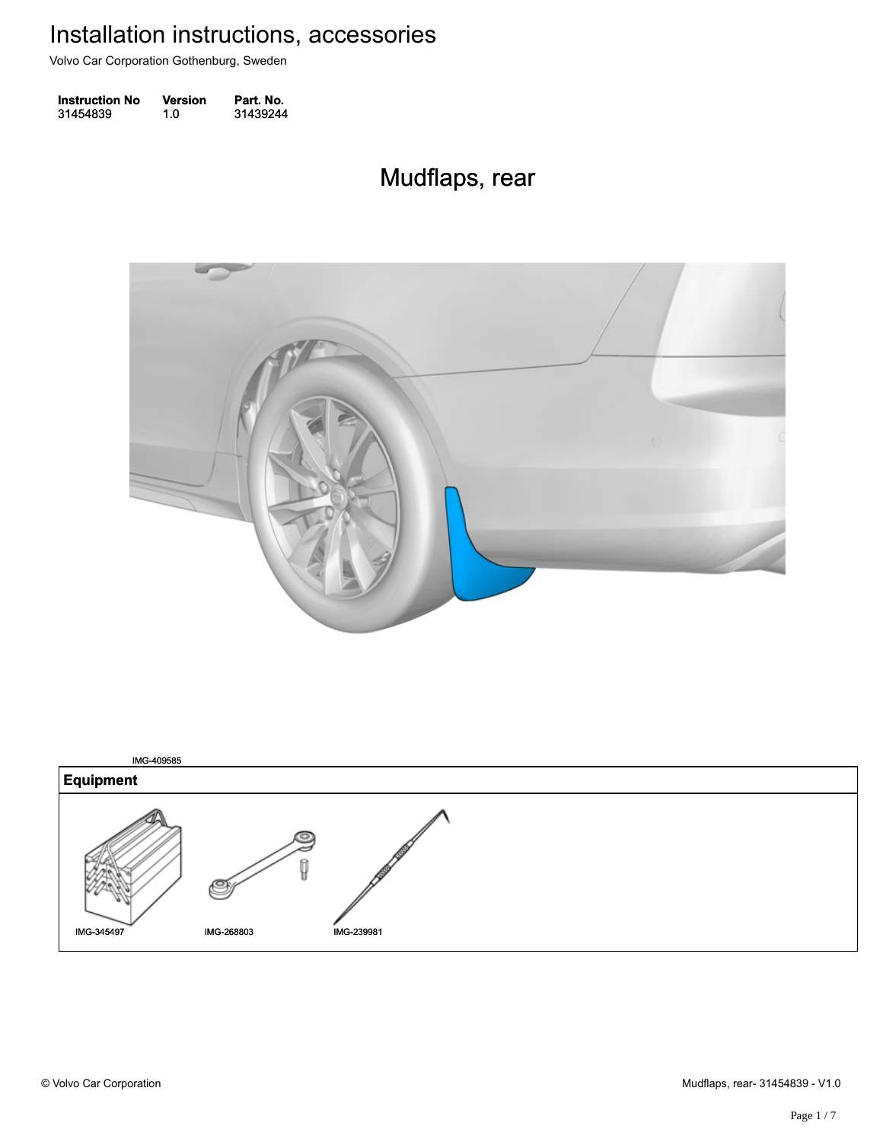Volvo Car Corporation Gothenburg, Sweden

| <b>Instruction No</b> | <b>Version</b> | Part. No. |
|-----------------------|----------------|-----------|
| 31454839              | 1.0            | 31439244  |

#### Mudflaps, rear Mudflaps, rear



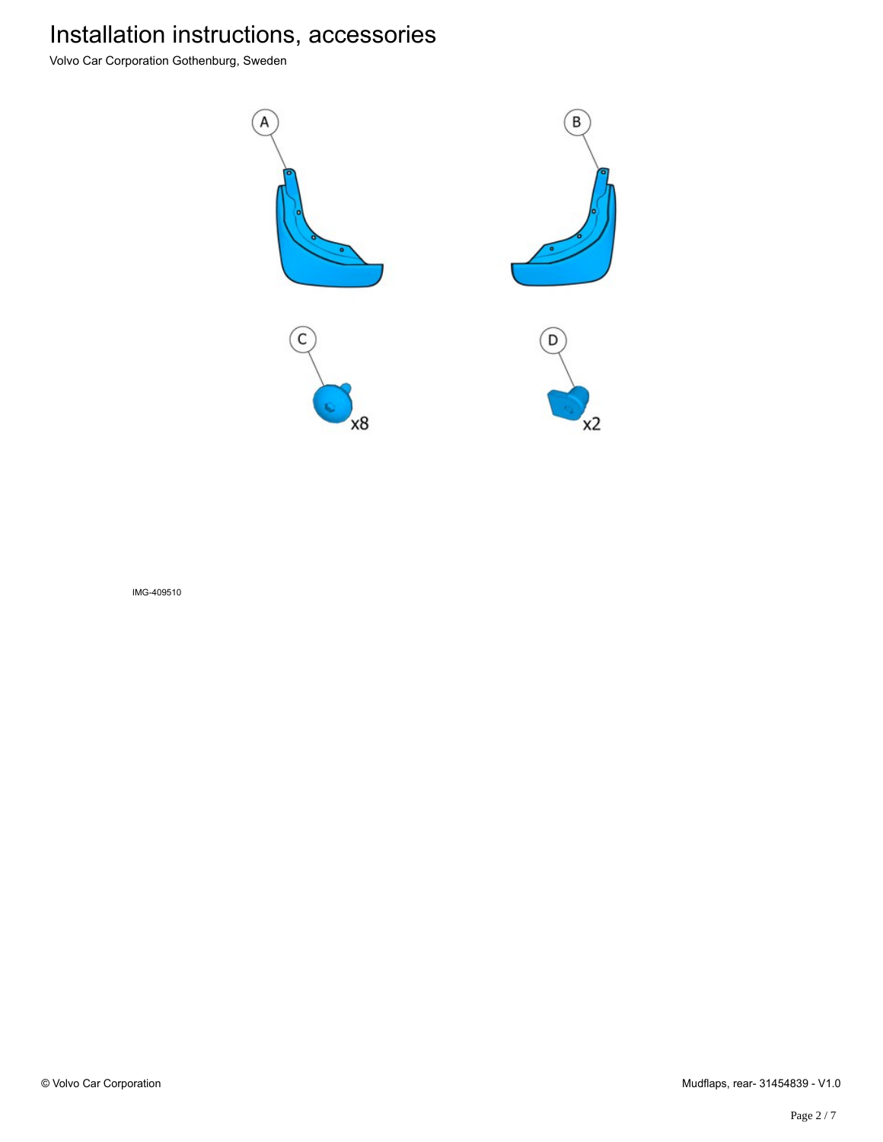Volvo Car Corporation Gothenburg, Sweden



IMG-409510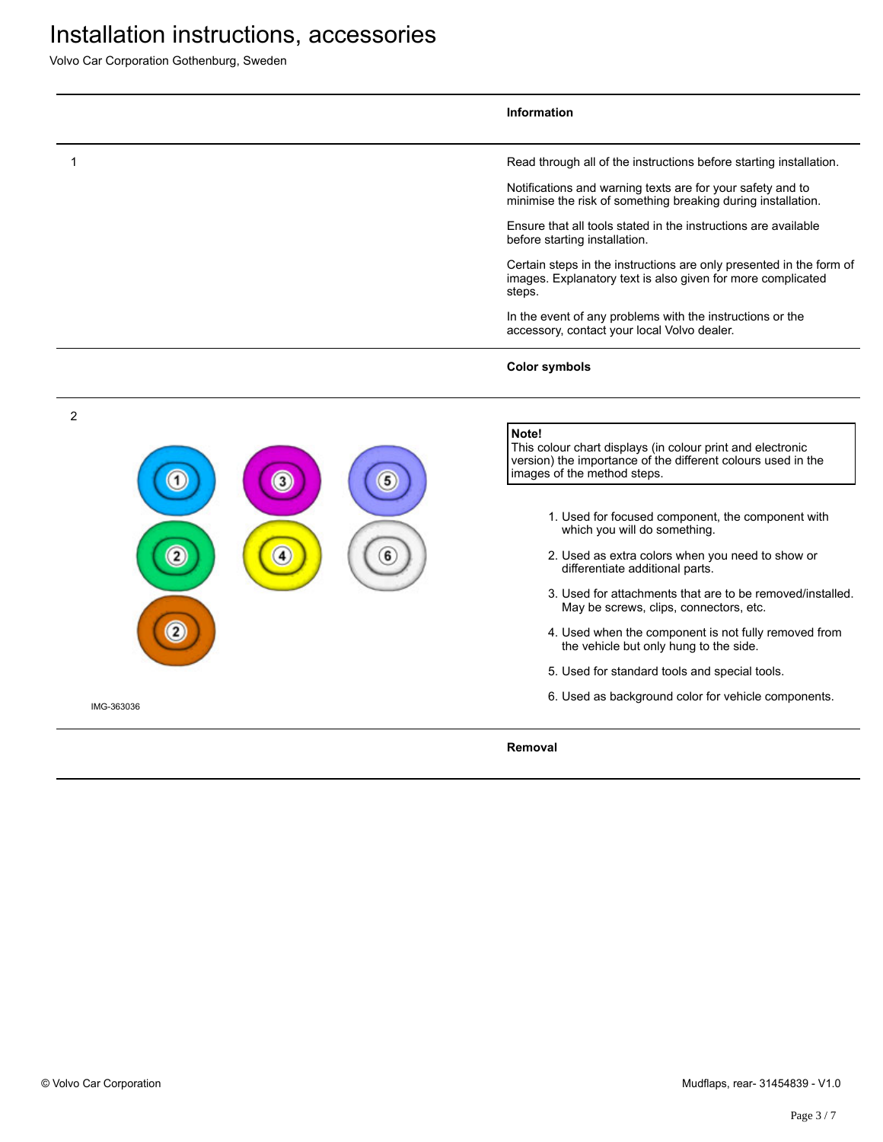Volvo Car Corporation Gothenburg, Sweden

|                | <b>Information</b>                                                                                                                                                 |
|----------------|--------------------------------------------------------------------------------------------------------------------------------------------------------------------|
|                | Read through all of the instructions before starting installation.                                                                                                 |
|                | Notifications and warning texts are for your safety and to<br>minimise the risk of something breaking during installation.                                         |
|                | Ensure that all tools stated in the instructions are available<br>before starting installation.                                                                    |
|                | Certain steps in the instructions are only presented in the form of<br>images. Explanatory text is also given for more complicated<br>steps.                       |
|                | In the event of any problems with the instructions or the<br>accessory, contact your local Volvo dealer.                                                           |
|                | <b>Color symbols</b>                                                                                                                                               |
| $\overline{2}$ |                                                                                                                                                                    |
| 3              | Note!<br>This colour chart displays (in colour print and electronic<br>version) the importance of the different colours used in the<br>images of the method steps. |
|                | 1. Used for focused component, the component with<br>which you will do something.                                                                                  |
|                | 2. Used as extra colors when you need to show or<br>differentiate additional parts.                                                                                |
|                | 3. Used for attachments that are to be removed/installed.<br>May be screws, clips, connectors, etc.                                                                |
|                | 4. Used when the component is not fully removed from<br>the vehicle but only hung to the side.                                                                     |
|                | 5. Used for standard tools and special tools.                                                                                                                      |
| IMG-363036     | 6. Used as background color for vehicle components.                                                                                                                |
|                | Removal                                                                                                                                                            |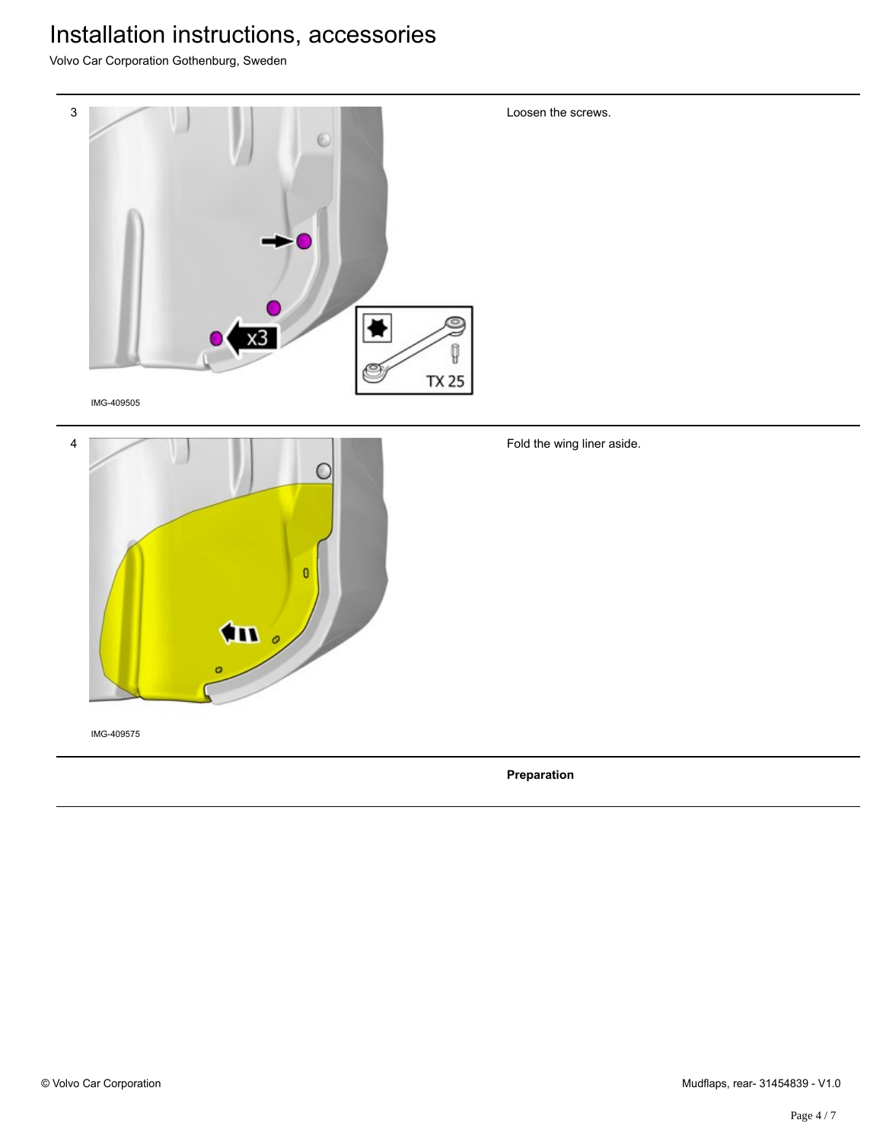Volvo Car Corporation Gothenburg, Sweden

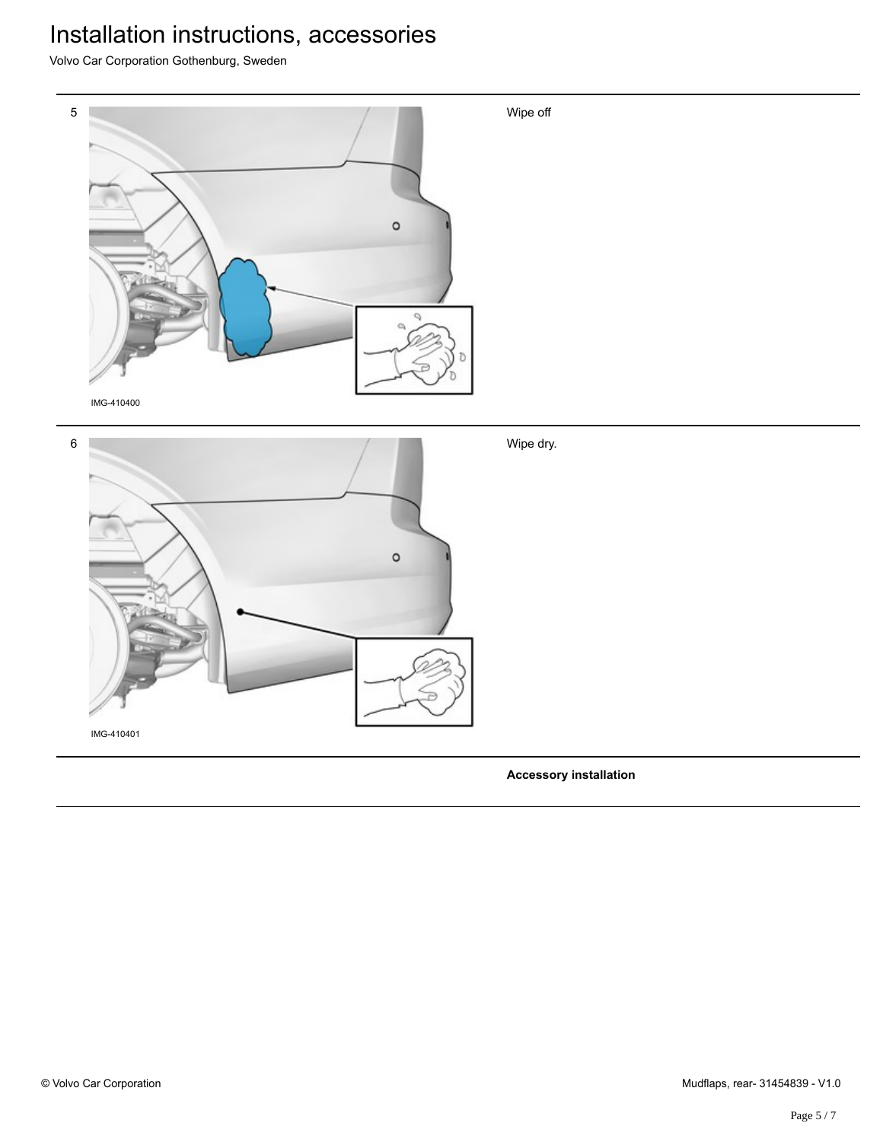Volvo Car Corporation Gothenburg, Sweden



**Accessory installation**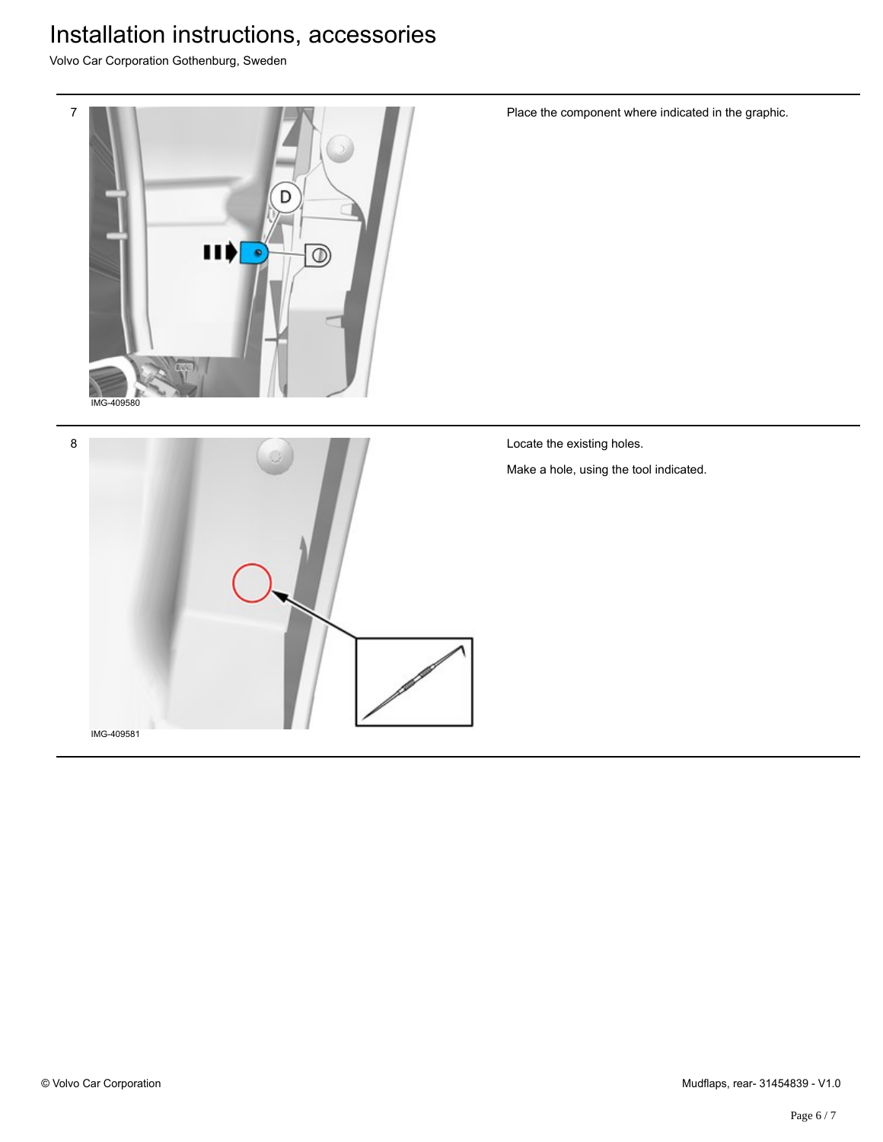Volvo Car Corporation Gothenburg, Sweden





Place the component where indicated in the graphic.

Locate the existing holes.

Make a hole, using the tool indicated.